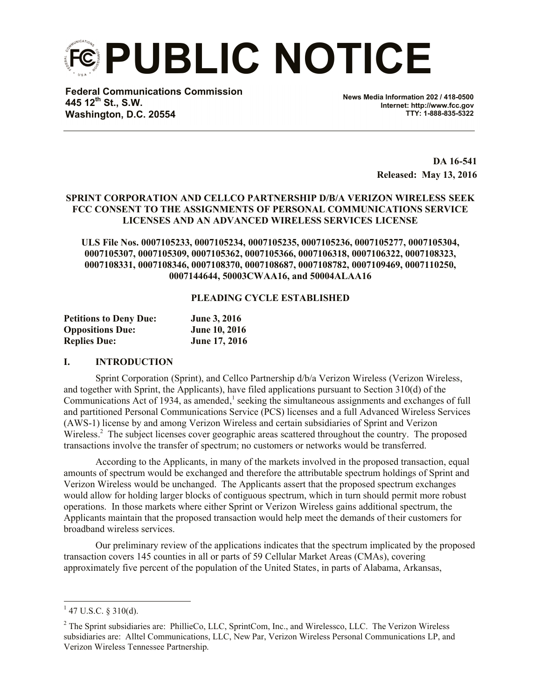**PUBLIC NOTICE**

**Federal Communications Commission 445 12th St., S.W. Washington, D.C. 20554**

**News Media Information 202 / 418-0500 Internet: http://www.fcc.gov TTY: 1-888-835-5322**

> **DA 16-541 Released: May 13, 2016**

## **SPRINT CORPORATION AND CELLCO PARTNERSHIP D/B/A VERIZON WIRELESS SEEK FCC CONSENT TO THE ASSIGNMENTS OF PERSONAL COMMUNICATIONS SERVICE LICENSES AND AN ADVANCED WIRELESS SERVICES LICENSE**

**ULS File Nos. 0007105233, 0007105234, 0007105235, 0007105236, 0007105277, 0007105304, 0007105307, 0007105309, 0007105362, 0007105366, 0007106318, 0007106322, 0007108323, 0007108331, 0007108346, 0007108370, 0007108687, 0007108782, 0007109469, 0007110250, 0007144644, 50003CWAA16, and 50004ALAA16**

#### **PLEADING CYCLE ESTABLISHED**

| <b>Petitions to Deny Due:</b> | <b>June 3, 2016</b>  |  |
|-------------------------------|----------------------|--|
| <b>Oppositions Due:</b>       | <b>June 10, 2016</b> |  |
| <b>Replies Due:</b>           | <b>June 17, 2016</b> |  |

#### **I. INTRODUCTION**

Sprint Corporation (Sprint), and Cellco Partnership d/b/a Verizon Wireless (Verizon Wireless, and together with Sprint, the Applicants), have filed applications pursuant to Section 310(d) of the Communications Act of 1934, as amended,<sup>1</sup> seeking the simultaneous assignments and exchanges of full and partitioned Personal Communications Service (PCS) licenses and a full Advanced Wireless Services (AWS-1) license by and among Verizon Wireless and certain subsidiaries of Sprint and Verizon Wireless.<sup>2</sup> The subject licenses cover geographic areas scattered throughout the country. The proposed transactions involve the transfer of spectrum; no customers or networks would be transferred.

According to the Applicants, in many of the markets involved in the proposed transaction, equal amounts of spectrum would be exchanged and therefore the attributable spectrum holdings of Sprint and Verizon Wireless would be unchanged. The Applicants assert that the proposed spectrum exchanges would allow for holding larger blocks of contiguous spectrum, which in turn should permit more robust operations. In those markets where either Sprint or Verizon Wireless gains additional spectrum, the Applicants maintain that the proposed transaction would help meet the demands of their customers for broadband wireless services.

Our preliminary review of the applications indicates that the spectrum implicated by the proposed transaction covers 145 counties in all or parts of 59 Cellular Market Areas (CMAs), covering approximately five percent of the population of the United States, in parts of Alabama, Arkansas,

l

 $1$  47 U.S.C. § 310(d).

<sup>&</sup>lt;sup>2</sup> The Sprint subsidiaries are: PhillieCo, LLC, SprintCom, Inc., and Wirelessco, LLC. The Verizon Wireless subsidiaries are: Alltel Communications, LLC, New Par, Verizon Wireless Personal Communications LP, and Verizon Wireless Tennessee Partnership.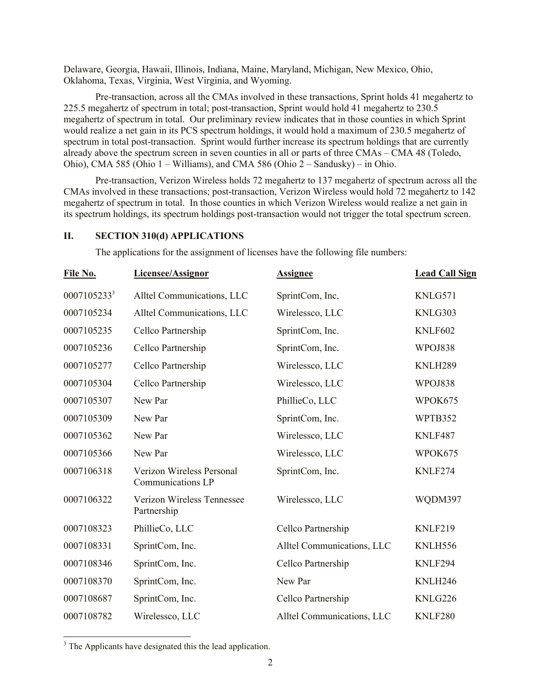Delaware, Georgia, Hawaii, Illinois, Indiana, Maine, Maryland, Michigan, New Mexico, Ohio, Oklahoma, Texas, Virginia, West Virginia, and Wyoming.

Pre-transaction, across all the CMAs involved in these transactions, Sprint holds 41 megahertz to 225.5 megahertz of spectrum in total; post-transaction, Sprint would hold 41 megahertz to 230.5 megahertz of spectrum in total. Our preliminary review indicates that in those counties in which Sprint would realize a net gain in its PCS spectrum holdings, it would hold a maximum of 230.5 megahertz of spectrum in total post-transaction. Sprint would further increase its spectrum holdings that are currently already above the spectrum screen in seven counties in all or parts of three CMAs – CMA 48 (Toledo, Ohio), CMA 585 (Ohio 1 – Williams), and CMA 586 (Ohio 2 – Sandusky) – in Ohio.

Pre-transaction, Verizon Wireless holds 72 megahertz to 137 megahertz of spectrum across all the CMAs involved in these transactions; post-transaction, Verizon Wireless would hold 72 megahertz to 142 megahertz of spectrum in total. In those counties in which Verizon Wireless would realize a net gain in its spectrum holdings, its spectrum holdings post-transaction would not trigger the total spectrum screen.

## **II. SECTION 310(d) APPLICATIONS**

The applications for the assignment of licenses have the following file numbers:

| File No.    | Licensee/Assignor                              | <b>Assignee</b>            | <b>Lead Call Sign</b> |
|-------------|------------------------------------------------|----------------------------|-----------------------|
| 00071052333 | Alltel Communications, LLC                     | SprintCom, Inc.            | KNLG571               |
| 0007105234  | Alltel Communications, LLC                     | Wirelessco, LLC            | KNLG303               |
| 0007105235  | Cellco Partnership                             | SprintCom, Inc.            | <b>KNLF602</b>        |
| 0007105236  | Cellco Partnership                             | SprintCom, Inc.            | WPOJ838               |
| 0007105277  | Cellco Partnership                             | Wirelessco, LLC            | KNLH289               |
| 0007105304  | Cellco Partnership                             | Wirelessco, LLC            | WPOJ838               |
| 0007105307  | New Par                                        | PhillieCo, LLC             | WPOK675               |
| 0007105309  | New Par                                        | SprintCom, Inc.            | WPTB352               |
| 0007105362  | New Par                                        | Wirelessco, LLC            | KNLF487               |
| 0007105366  | New Par                                        | Wirelessco, LLC            | WPOK675               |
| 0007106318  | Verizon Wireless Personal<br>Communications LP | SprintCom, Inc.            | KNLF274               |
| 0007106322  | Verizon Wireless Tennessee<br>Partnership      | Wirelessco, LLC            | WQDM397               |
| 0007108323  | PhillieCo, LLC                                 | Cellco Partnership         | KNLF219               |
| 0007108331  | SprintCom, Inc.                                | Alltel Communications, LLC | KNLH556               |
| 0007108346  | SprintCom, Inc.                                | Cellco Partnership         | KNLF294               |
| 0007108370  | SprintCom, Inc.                                | New Par                    | KNLH246               |
| 0007108687  | SprintCom, Inc.                                | Cellco Partnership         | KNLG226               |
| 0007108782  | Wirelessco, LLC                                | Alltel Communications, LLC | KNLF280               |

<sup>3</sup> The Applicants have designated this the lead application.

 $\overline{a}$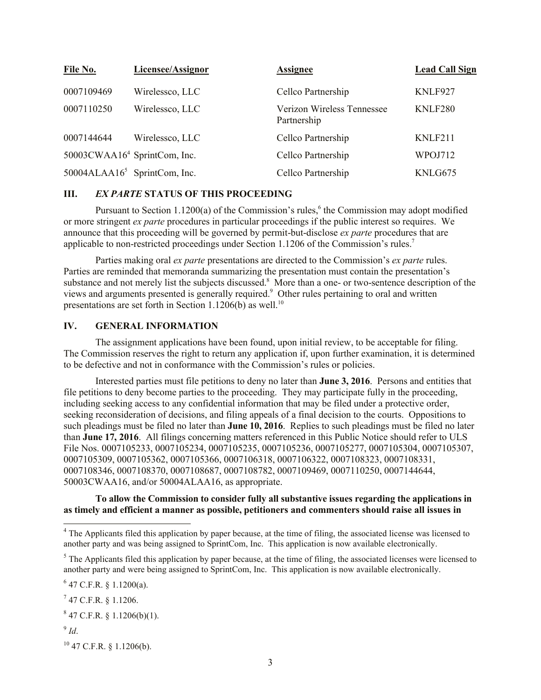| File No.                                 | Licensee/Assignor | <b>Assignee</b>                           | <b>Lead Call Sign</b> |
|------------------------------------------|-------------------|-------------------------------------------|-----------------------|
| 0007109469                               | Wirelessco, LLC   | Cellco Partnership                        | KNLF927               |
| 0007110250                               | Wirelessco, LLC   | Verizon Wireless Tennessee<br>Partnership | KNLF280               |
| 0007144644                               | Wirelessco, LLC   | Cellco Partnership                        | KNLF211               |
| 50003CWAA16 <sup>4</sup> SprintCom, Inc. |                   | Cellco Partnership                        | WPOJ712               |
| 50004ALAA1 $65$ SprintCom, Inc.          |                   | Cellco Partnership                        | KNLG675               |

### **III.** *EX PARTE* **STATUS OF THIS PROCEEDING**

Pursuant to Section 1.1200(a) of the Commission's rules,<sup>6</sup> the Commission may adopt modified or more stringent *ex parte* procedures in particular proceedings if the public interest so requires. We announce that this proceeding will be governed by permit-but-disclose *ex parte* procedures that are applicable to non-restricted proceedings under Section 1.1206 of the Commission's rules.<sup>7</sup>

Parties making oral *ex parte* presentations are directed to the Commission's *ex parte* rules. Parties are reminded that memoranda summarizing the presentation must contain the presentation's substance and not merely list the subjects discussed.<sup>8</sup> More than a one- or two-sentence description of the views and arguments presented is generally required.<sup>9</sup> Other rules pertaining to oral and written presentations are set forth in Section 1.1206(b) as well.<sup>10</sup>

# **IV. GENERAL INFORMATION**

The assignment applications have been found, upon initial review, to be acceptable for filing. The Commission reserves the right to return any application if, upon further examination, it is determined to be defective and not in conformance with the Commission's rules or policies.

Interested parties must file petitions to deny no later than **June 3, 2016**. Persons and entities that file petitions to deny become parties to the proceeding. They may participate fully in the proceeding, including seeking access to any confidential information that may be filed under a protective order, seeking reconsideration of decisions, and filing appeals of a final decision to the courts. Oppositions to such pleadings must be filed no later than **June 10, 2016**. Replies to such pleadings must be filed no later than **June 17, 2016**. All filings concerning matters referenced in this Public Notice should refer to ULS File Nos. 0007105233, 0007105234, 0007105235, 0007105236, 0007105277, 0007105304, 0007105307, 0007105309, 0007105362, 0007105366, 0007106318, 0007106322, 0007108323, 0007108331, 0007108346, 0007108370, 0007108687, 0007108782, 0007109469, 0007110250, 0007144644, 50003CWAA16, and/or 50004ALAA16, as appropriate.

**To allow the Commission to consider fully all substantive issues regarding the applications in as timely and efficient a manner as possible, petitioners and commenters should raise all issues in** 

9 *Id*.

l

<sup>10</sup> 47 C.F.R. § 1.1206(b).

 $4$  The Applicants filed this application by paper because, at the time of filing, the associated license was licensed to another party and was being assigned to SprintCom, Inc. This application is now available electronically.

 $<sup>5</sup>$  The Applicants filed this application by paper because, at the time of filing, the associated licenses were licensed to</sup> another party and were being assigned to SprintCom, Inc. This application is now available electronically.

 $6$  47 C.F.R. § 1.1200(a).

 $^{7}$  47 C.F.R. § 1.1206.

 $847$  C.F.R. § 1.1206(b)(1).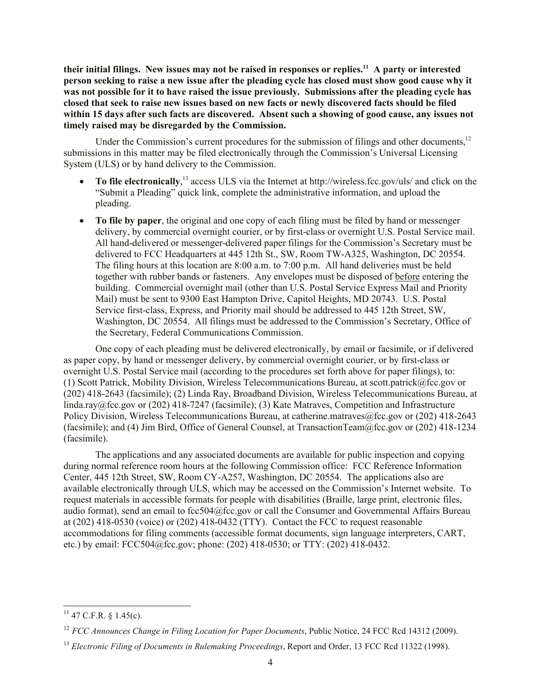**their initial filings. New issues may not be raised in responses or replies.<sup>11</sup> A party or interested person seeking to raise a new issue after the pleading cycle has closed must show good cause why it was not possible for it to have raised the issue previously. Submissions after the pleading cycle has closed that seek to raise new issues based on new facts or newly discovered facts should be filed within 15 days after such facts are discovered. Absent such a showing of good cause, any issues not timely raised may be disregarded by the Commission.**

Under the Commission's current procedures for the submission of filings and other documents,<sup>12</sup> submissions in this matter may be filed electronically through the Commission's Universal Licensing System (ULS) or by hand delivery to the Commission.

- To file electronically,<sup>13</sup> access ULS via the Internet at http://wireless.fcc.gov/uls/ and click on the "Submit a Pleading" quick link, complete the administrative information, and upload the pleading.
- **To file by paper**, the original and one copy of each filing must be filed by hand or messenger delivery, by commercial overnight courier, or by first-class or overnight U.S. Postal Service mail. All hand-delivered or messenger-delivered paper filings for the Commission's Secretary must be delivered to FCC Headquarters at 445 12th St., SW, Room TW-A325, Washington, DC 20554. The filing hours at this location are 8:00 a.m. to 7:00 p.m. All hand deliveries must be held together with rubber bands or fasteners. Any envelopes must be disposed of before entering the building. Commercial overnight mail (other than U.S. Postal Service Express Mail and Priority Mail) must be sent to 9300 East Hampton Drive, Capitol Heights, MD 20743. U.S. Postal Service first-class, Express, and Priority mail should be addressed to 445 12th Street, SW, Washington, DC 20554. All filings must be addressed to the Commission's Secretary, Office of the Secretary, Federal Communications Commission.

One copy of each pleading must be delivered electronically, by email or facsimile, or if delivered as paper copy, by hand or messenger delivery, by commercial overnight courier, or by first-class or overnight U.S. Postal Service mail (according to the procedures set forth above for paper filings), to: (1) Scott Patrick, Mobility Division, Wireless Telecommunications Bureau, at scott.patrick@fcc.gov or (202) 418-2643 (facsimile); (2) Linda Ray, Broadband Division, Wireless Telecommunications Bureau, at linda.ray@fcc.gov or (202) 418-7247 (facsimile); (3) Kate Matraves, Competition and Infrastructure Policy Division, Wireless Telecommunications Bureau, at catherine.matraves@fcc.gov or (202) 418-2643 (facsimile); and (4) Jim Bird, Office of General Counsel, at TransactionTeam@fcc.gov or (202) 418-1234 (facsimile).

The applications and any associated documents are available for public inspection and copying during normal reference room hours at the following Commission office: FCC Reference Information Center, 445 12th Street, SW, Room CY-A257, Washington, DC 20554. The applications also are available electronically through ULS, which may be accessed on the Commission's Internet website. To request materials in accessible formats for people with disabilities (Braille, large print, electronic files, audio format), send an email to fcc504@fcc.gov or call the Consumer and Governmental Affairs Bureau at (202) 418-0530 (voice) or (202) 418-0432 (TTY). Contact the FCC to request reasonable accommodations for filing comments (accessible format documents, sign language interpreters, CART, etc.) by email: FCC504@fcc.gov; phone: (202) 418-0530; or TTY: (202) 418-0432.

l

 $^{11}$  47 C.F.R. § 1.45(c).

<sup>12</sup> *FCC Announces Change in Filing Location for Paper Documents*, Public Notice, 24 FCC Rcd 14312 (2009).

<sup>13</sup> *Electronic Filing of Documents in Rulemaking Proceedings*, Report and Order, 13 FCC Rcd 11322 (1998).